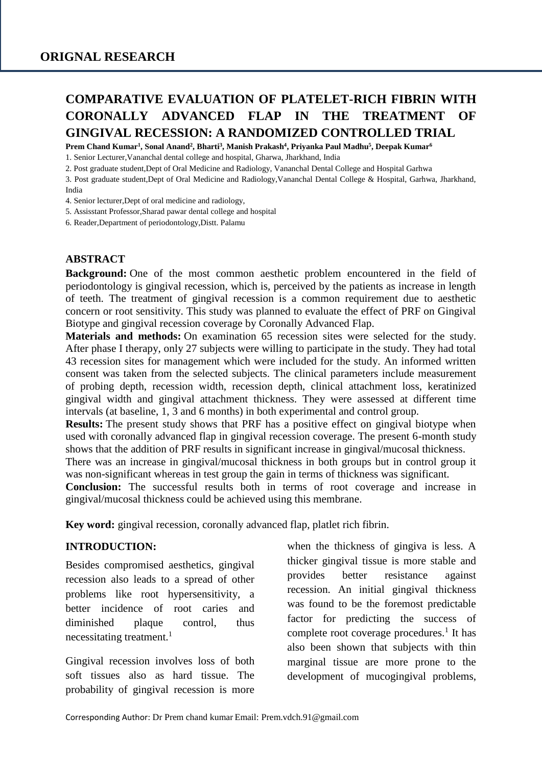# **COMPARATIVE EVALUATION OF PLATELET-RICH FIBRIN WITH CORONALLY ADVANCED FLAP IN THE TREATMENT OF GINGIVAL RECESSION: A RANDOMIZED CONTROLLED TRIAL**

**Prem Chand Kumar<sup>1</sup> , Sonal Anand<sup>2</sup> , Bharti<sup>3</sup> , Manish Prakash<sup>4</sup> , Priyanka Paul Madhu<sup>5</sup> , Deepak Kumar<sup>6</sup>**

1. Senior Lecturer,Vananchal dental college and hospital, Gharwa, Jharkhand, India

2. Post graduate student,Dept of Oral Medicine and Radiology, Vananchal Dental College and Hospital Garhwa

3. Post graduate student,Dept of Oral Medicine and Radiology,Vananchal Dental College & Hospital, Garhwa, Jharkhand, India

4. Senior lecturer,Dept of oral medicine and radiology,

5. Assisstant Professor,Sharad pawar dental college and hospital

6. Reader,Department of periodontology,Distt. Palamu

#### **ABSTRACT**

**Background:** One of the most common aesthetic problem encountered in the field of periodontology is gingival recession, which is, perceived by the patients as increase in length of teeth. The treatment of gingival recession is a common requirement due to aesthetic concern or root sensitivity. This study was planned to evaluate the effect of PRF on Gingival Biotype and gingival recession coverage by Coronally Advanced Flap.

**Materials and methods:** On examination 65 recession sites were selected for the study. After phase I therapy, only 27 subjects were willing to participate in the study. They had total 43 recession sites for management which were included for the study. An informed written consent was taken from the selected subjects. The clinical parameters include measurement of probing depth, recession width, recession depth, clinical attachment loss, keratinized gingival width and gingival attachment thickness. They were assessed at different time intervals (at baseline, 1, 3 and 6 months) in both experimental and control group.

**Results:** The present study shows that PRF has a positive effect on gingival biotype when used with coronally advanced flap in gingival recession coverage. The present 6-month study shows that the addition of PRF results in significant increase in gingival/mucosal thickness.

There was an increase in gingival/mucosal thickness in both groups but in control group it was non-significant whereas in test group the gain in terms of thickness was significant.

**Conclusion:** The successful results both in terms of root coverage and increase in gingival/mucosal thickness could be achieved using this membrane.

**Key word:** gingival recession, coronally advanced flap, platlet rich fibrin.

#### **INTRODUCTION:**

Besides compromised aesthetics, gingival recession also leads to a spread of other problems like root hypersensitivity, a better incidence of root caries and diminished plaque control, thus necessitating treatment.<sup>1</sup>

Gingival recession involves loss of both soft tissues also as hard tissue. The probability of gingival recession is more

when the thickness of gingiva is less. A thicker gingival tissue is more stable and provides better resistance against recession. An initial gingival thickness was found to be the foremost predictable factor for predicting the success of complete root coverage procedures.<sup>1</sup> It has also been shown that subjects with thin marginal tissue are more prone to the development of mucogingival problems,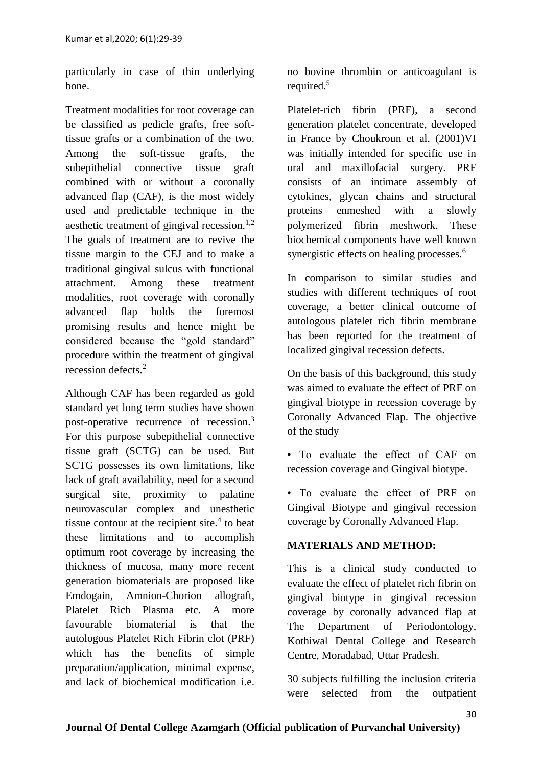particularly in case of thin underlying bone.

Treatment modalities for root coverage can be classified as pedicle grafts, free softtissue grafts or a combination of the two. Among the soft-tissue grafts, the subepithelial connective tissue graft combined with or without a coronally advanced flap (CAF), is the most widely used and predictable technique in the aesthetic treatment of gingival recession.<sup>1,2</sup> The goals of treatment are to revive the tissue margin to the CEJ and to make a traditional gingival sulcus with functional attachment. Among these treatment modalities, root coverage with coronally advanced flap holds the foremost promising results and hence might be considered because the "gold standard" procedure within the treatment of gingival recession defects<sup>2</sup>

Although CAF has been regarded as gold standard yet long term studies have shown post-operative recurrence of recession.<sup>3</sup> For this purpose subepithelial connective tissue graft (SCTG) can be used. But SCTG possesses its own limitations, like lack of graft availability, need for a second surgical site, proximity to palatine neurovascular complex and unesthetic tissue contour at the recipient site. $4$  to beat these limitations and to accomplish optimum root coverage by increasing the thickness of mucosa, many more recent generation biomaterials are proposed like Emdogain, Amnion-Chorion allograft, Platelet Rich Plasma etc. A more favourable biomaterial is that the autologous Platelet Rich Fibrin clot (PRF) which has the benefits of simple preparation/application, minimal expense, and lack of biochemical modification i.e.

no bovine thrombin or anticoagulant is required.<sup>5</sup>

Platelet-rich fibrin (PRF), a second generation platelet concentrate, developed in France by Choukroun et al. (2001)VI was initially intended for specific use in oral and maxillofacial surgery. PRF consists of an intimate assembly of cytokines, glycan chains and structural proteins enmeshed with a slowly polymerized fibrin meshwork. These biochemical components have well known synergistic effects on healing processes.<sup>6</sup>

In comparison to similar studies and studies with different techniques of root coverage, a better clinical outcome of autologous platelet rich fibrin membrane has been reported for the treatment of localized gingival recession defects.

On the basis of this background, this study was aimed to evaluate the effect of PRF on gingival biotype in recession coverage by Coronally Advanced Flap. The objective of the study

• To evaluate the effect of CAF on recession coverage and Gingival biotype.

• To evaluate the effect of PRF on Gingival Biotype and gingival recession coverage by Coronally Advanced Flap.

# **MATERIALS AND METHOD:**

This is a clinical study conducted to evaluate the effect of platelet rich fibrin on gingival biotype in gingival recession coverage by coronally advanced flap at The Department of Periodontology, Kothiwal Dental College and Research Centre, Moradabad, Uttar Pradesh.

30 subjects fulfilling the inclusion criteria were selected from the outpatient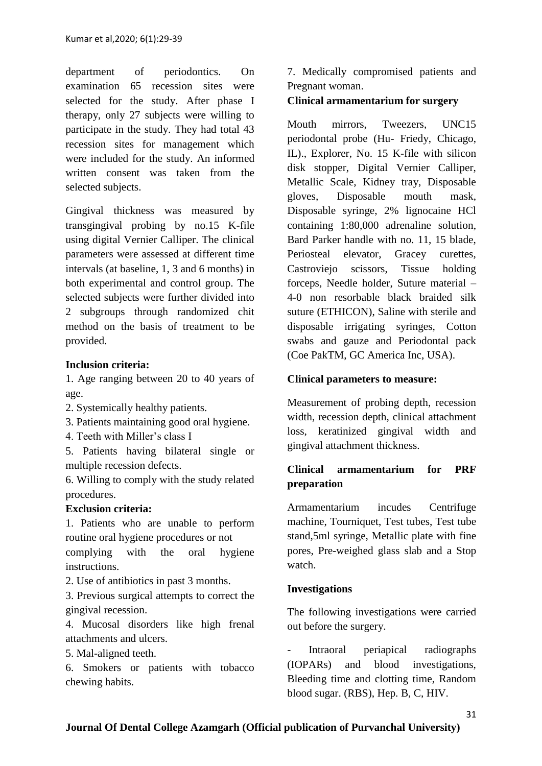department of periodontics. On examination 65 recession sites were selected for the study. After phase I therapy, only 27 subjects were willing to participate in the study. They had total 43 recession sites for management which were included for the study. An informed written consent was taken from the selected subjects.

Gingival thickness was measured by transgingival probing by no.15 K-file using digital Vernier Calliper. The clinical parameters were assessed at different time intervals (at baseline, 1, 3 and 6 months) in both experimental and control group. The selected subjects were further divided into 2 subgroups through randomized chit method on the basis of treatment to be provided.

## **Inclusion criteria:**

1. Age ranging between 20 to 40 years of age.

- 2. Systemically healthy patients.
- 3. Patients maintaining good oral hygiene.
- 4. Teeth with Miller's class I

5. Patients having bilateral single or multiple recession defects.

6. Willing to comply with the study related procedures.

#### **Exclusion criteria:**

1. Patients who are unable to perform routine oral hygiene procedures or not complying with the oral hygiene

instructions.

2. Use of antibiotics in past 3 months.

3. Previous surgical attempts to correct the gingival recession.

4. Mucosal disorders like high frenal attachments and ulcers.

5. Mal-aligned teeth.

6. Smokers or patients with tobacco chewing habits.

7. Medically compromised patients and Pregnant woman.

## **Clinical armamentarium for surgery**

Mouth mirrors, Tweezers, UNC15 periodontal probe (Hu- Friedy, Chicago, IL)., Explorer, No. 15 K-file with silicon disk stopper, Digital Vernier Calliper, Metallic Scale, Kidney tray, Disposable gloves, Disposable mouth mask, Disposable syringe, 2% lignocaine HCl containing 1:80,000 adrenaline solution, Bard Parker handle with no. 11, 15 blade, Periosteal elevator, Gracey curettes, Castroviejo scissors, Tissue holding forceps, Needle holder, Suture material – 4-0 non resorbable black braided silk suture (ETHICON), Saline with sterile and disposable irrigating syringes, Cotton swabs and gauze and Periodontal pack (Coe PakTM, GC America Inc, USA).

#### **Clinical parameters to measure:**

Measurement of probing depth, recession width, recession depth, clinical attachment loss, keratinized gingival width and gingival attachment thickness.

# **Clinical armamentarium for PRF preparation**

Armamentarium incudes Centrifuge machine, Tourniquet, Test tubes, Test tube stand,5ml syringe, Metallic plate with fine pores, Pre-weighed glass slab and a Stop watch.

#### **Investigations**

The following investigations were carried out before the surgery.

- Intraoral periapical radiographs (IOPARs) and blood investigations, Bleeding time and clotting time, Random blood sugar. (RBS), Hep. B, C, HIV.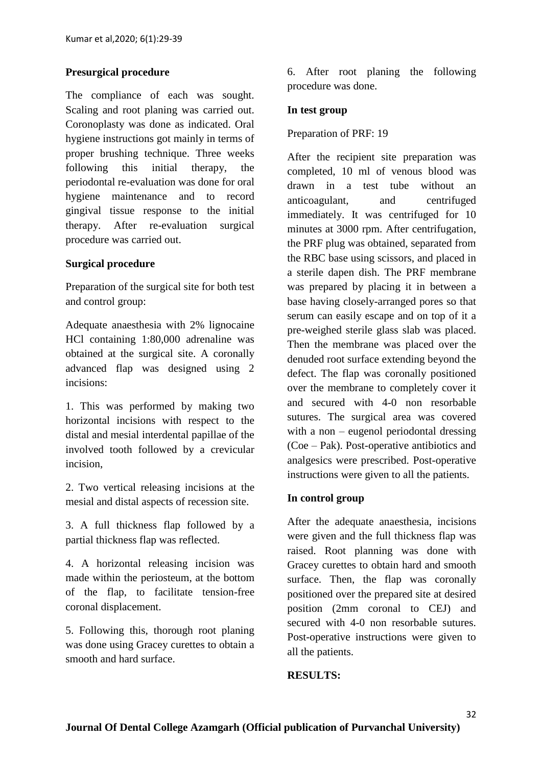#### **Presurgical procedure**

The compliance of each was sought. Scaling and root planing was carried out. Coronoplasty was done as indicated. Oral hygiene instructions got mainly in terms of proper brushing technique. Three weeks following this initial therapy, the periodontal re-evaluation was done for oral hygiene maintenance and to record gingival tissue response to the initial therapy. After re-evaluation surgical procedure was carried out.

#### **Surgical procedure**

Preparation of the surgical site for both test and control group:

Adequate anaesthesia with 2% lignocaine HCl containing 1:80,000 adrenaline was obtained at the surgical site. A coronally advanced flap was designed using 2 incisions:

1. This was performed by making two horizontal incisions with respect to the distal and mesial interdental papillae of the involved tooth followed by a crevicular incision,

2. Two vertical releasing incisions at the mesial and distal aspects of recession site.

3. A full thickness flap followed by a partial thickness flap was reflected.

4. A horizontal releasing incision was made within the periosteum, at the bottom of the flap, to facilitate tension-free coronal displacement.

5. Following this, thorough root planing was done using Gracey curettes to obtain a smooth and hard surface.

6. After root planing the following procedure was done.

#### **In test group**

#### Preparation of PRF: 19

After the recipient site preparation was completed, 10 ml of venous blood was drawn in a test tube without an anticoagulant, and centrifuged immediately. It was centrifuged for 10 minutes at 3000 rpm. After centrifugation, the PRF plug was obtained, separated from the RBC base using scissors, and placed in a sterile dapen dish. The PRF membrane was prepared by placing it in between a base having closely-arranged pores so that serum can easily escape and on top of it a pre-weighed sterile glass slab was placed. Then the membrane was placed over the denuded root surface extending beyond the defect. The flap was coronally positioned over the membrane to completely cover it and secured with 4-0 non resorbable sutures. The surgical area was covered with a non – eugenol periodontal dressing (Coe – Pak). Post-operative antibiotics and analgesics were prescribed. Post-operative instructions were given to all the patients.

#### **In control group**

After the adequate anaesthesia, incisions were given and the full thickness flap was raised. Root planning was done with Gracey curettes to obtain hard and smooth surface. Then, the flap was coronally positioned over the prepared site at desired position (2mm coronal to CEJ) and secured with 4-0 non resorbable sutures. Post-operative instructions were given to all the patients.

#### **RESULTS:**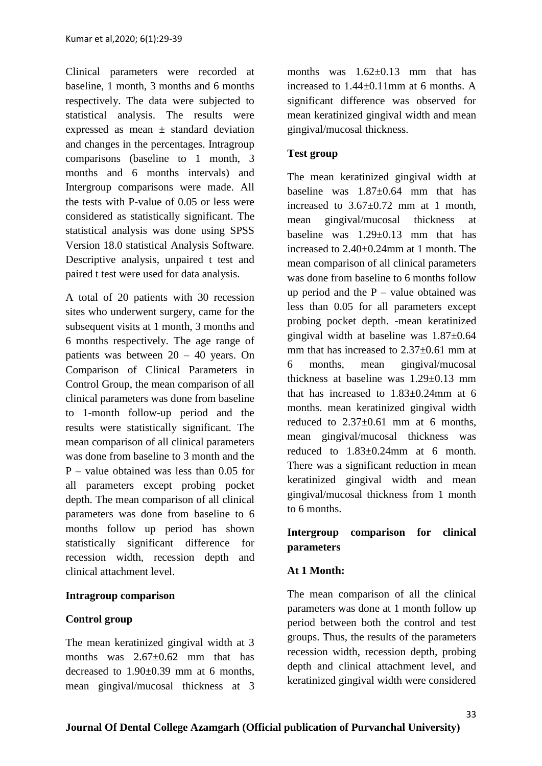Clinical parameters were recorded at baseline, 1 month, 3 months and 6 months respectively. The data were subjected to statistical analysis. The results were expressed as mean  $\pm$  standard deviation and changes in the percentages. Intragroup comparisons (baseline to 1 month, 3 months and 6 months intervals) and Intergroup comparisons were made. All the tests with P-value of 0.05 or less were considered as statistically significant. The statistical analysis was done using SPSS Version 18.0 statistical Analysis Software. Descriptive analysis, unpaired t test and paired t test were used for data analysis.

A total of 20 patients with 30 recession sites who underwent surgery, came for the subsequent visits at 1 month, 3 months and 6 months respectively. The age range of patients was between 20 – 40 years. On Comparison of Clinical Parameters in Control Group, the mean comparison of all clinical parameters was done from baseline to 1-month follow-up period and the results were statistically significant. The mean comparison of all clinical parameters was done from baseline to 3 month and the P – value obtained was less than 0.05 for all parameters except probing pocket depth. The mean comparison of all clinical parameters was done from baseline to 6 months follow up period has shown statistically significant difference for recession width, recession depth and clinical attachment level.

#### **Intragroup comparison**

# **Control group**

The mean keratinized gingival width at 3 months was  $2.67+0.62$  mm that has decreased to 1.90±0.39 mm at 6 months, mean gingival/mucosal thickness at 3 months was  $1.62 \pm 0.13$  mm that has increased to 1.44±0.11mm at 6 months. A significant difference was observed for mean keratinized gingival width and mean gingival/mucosal thickness.

## **Test group**

The mean keratinized gingival width at baseline was  $1.87 \pm 0.64$  mm that has increased to  $3.67\pm0.72$  mm at 1 month. mean gingival/mucosal thickness at baseline was 1.29±0.13 mm that has increased to 2.40±0.24mm at 1 month. The mean comparison of all clinical parameters was done from baseline to 6 months follow up period and the  $P$  – value obtained was less than 0.05 for all parameters except probing pocket depth. -mean keratinized gingival width at baseline was 1.87±0.64 mm that has increased to 2.37 $\pm$ 0.61 mm at 6 months, mean gingival/mucosal thickness at baseline was 1.29±0.13 mm that has increased to  $1.83\pm0.24$  mm at 6 months. mean keratinized gingival width reduced to  $2.37\pm0.61$  mm at 6 months, mean gingival/mucosal thickness was reduced to 1.83±0.24mm at 6 month. There was a significant reduction in mean keratinized gingival width and mean gingival/mucosal thickness from 1 month to 6 months.

# **Intergroup comparison for clinical parameters**

# **At 1 Month:**

The mean comparison of all the clinical parameters was done at 1 month follow up period between both the control and test groups. Thus, the results of the parameters recession width, recession depth, probing depth and clinical attachment level, and keratinized gingival width were considered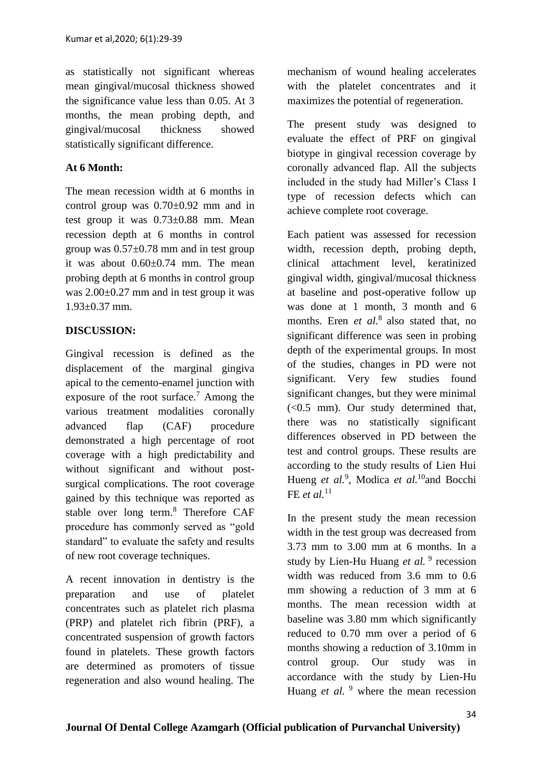as statistically not significant whereas mean gingival/mucosal thickness showed the significance value less than 0.05. At 3 months, the mean probing depth, and gingival/mucosal thickness showed statistically significant difference.

# **At 6 Month:**

The mean recession width at 6 months in control group was 0.70±0.92 mm and in test group it was 0.73±0.88 mm. Mean recession depth at 6 months in control group was  $0.57\pm0.78$  mm and in test group it was about 0.60±0.74 mm. The mean probing depth at 6 months in control group was 2.00±0.27 mm and in test group it was 1.93±0.37 mm.

# **DISCUSSION:**

Gingival recession is defined as the displacement of the marginal gingiva apical to the cemento-enamel junction with exposure of the root surface.<sup>7</sup> Among the various treatment modalities coronally advanced flap (CAF) procedure demonstrated a high percentage of root coverage with a high predictability and without significant and without postsurgical complications. The root coverage gained by this technique was reported as stable over long term.<sup>8</sup> Therefore CAF procedure has commonly served as "gold standard" to evaluate the safety and results of new root coverage techniques.

A recent innovation in dentistry is the preparation and use of platelet concentrates such as platelet rich plasma (PRP) and platelet rich fibrin (PRF), a concentrated suspension of growth factors found in platelets. These growth factors are determined as promoters of tissue regeneration and also wound healing. The

mechanism of wound healing accelerates with the platelet concentrates and it maximizes the potential of regeneration.

The present study was designed to evaluate the effect of PRF on gingival biotype in gingival recession coverage by coronally advanced flap. All the subjects included in the study had Miller's Class I type of recession defects which can achieve complete root coverage.

Each patient was assessed for recession width, recession depth, probing depth, clinical attachment level, keratinized gingival width, gingival/mucosal thickness at baseline and post-operative follow up was done at 1 month, 3 month and 6 months. Eren *et al.*<sup>8</sup> also stated that, no significant difference was seen in probing depth of the experimental groups. In most of the studies, changes in PD were not significant. Very few studies found significant changes, but they were minimal  $(<0.5$  mm). Our study determined that, there was no statistically significant differences observed in PD between the test and control groups. These results are according to the study results of Lien Hui Hueng et al.<sup>9</sup>, Modica et al.<sup>10</sup>and Bocchi FE *et al.*<sup>11</sup>

In the present study the mean recession width in the test group was decreased from 3.73 mm to 3.00 mm at 6 months. In a study by Lien-Hu Huang et al.<sup>9</sup> recession width was reduced from 3.6 mm to 0.6 mm showing a reduction of 3 mm at 6 months. The mean recession width at baseline was 3.80 mm which significantly reduced to 0.70 mm over a period of 6 months showing a reduction of 3.10mm in control group. Our study was in accordance with the study by Lien-Hu Huang *et al.* <sup>9</sup> where the mean recession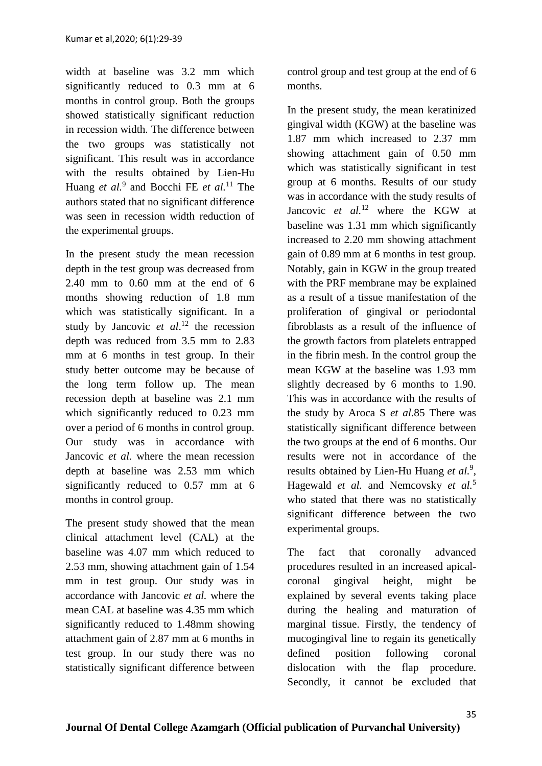width at baseline was 3.2 mm which significantly reduced to 0.3 mm at 6 months in control group. Both the groups showed statistically significant reduction in recession width. The difference between the two groups was statistically not significant. This result was in accordance with the results obtained by Lien-Hu Huang *et al.*<sup>9</sup> and Bocchi FE *et al.*<sup>11</sup> The authors stated that no significant difference was seen in recession width reduction of the experimental groups.

In the present study the mean recession depth in the test group was decreased from 2.40 mm to 0.60 mm at the end of 6 months showing reduction of 1.8 mm which was statistically significant. In a study by Jancovic *et al*. <sup>12</sup> the recession depth was reduced from 3.5 mm to 2.83 mm at 6 months in test group. In their study better outcome may be because of the long term follow up. The mean recession depth at baseline was 2.1 mm which significantly reduced to 0.23 mm over a period of 6 months in control group. Our study was in accordance with Jancovic *et al.* where the mean recession depth at baseline was 2.53 mm which significantly reduced to 0.57 mm at 6 months in control group.

The present study showed that the mean clinical attachment level (CAL) at the baseline was 4.07 mm which reduced to 2.53 mm, showing attachment gain of 1.54 mm in test group. Our study was in accordance with Jancovic *et al.* where the mean CAL at baseline was 4.35 mm which significantly reduced to 1.48mm showing attachment gain of 2.87 mm at 6 months in test group. In our study there was no statistically significant difference between control group and test group at the end of 6 months.

In the present study, the mean keratinized gingival width (KGW) at the baseline was 1.87 mm which increased to 2.37 mm showing attachment gain of 0.50 mm which was statistically significant in test group at 6 months. Results of our study was in accordance with the study results of Jancovic *et al.*<sup>12</sup> where the KGW at baseline was 1.31 mm which significantly increased to 2.20 mm showing attachment gain of 0.89 mm at 6 months in test group. Notably, gain in KGW in the group treated with the PRF membrane may be explained as a result of a tissue manifestation of the proliferation of gingival or periodontal fibroblasts as a result of the influence of the growth factors from platelets entrapped in the fibrin mesh. In the control group the mean KGW at the baseline was 1.93 mm slightly decreased by 6 months to 1.90. This was in accordance with the results of the study by Aroca S *et al*.85 There was statistically significant difference between the two groups at the end of 6 months. Our results were not in accordance of the results obtained by Lien-Hu Huang *et al.*<sup>9</sup> , Hagewald *et al.* and Nemcovsky *et al.*<sup>5</sup> who stated that there was no statistically significant difference between the two experimental groups.

The fact that coronally advanced procedures resulted in an increased apicalcoronal gingival height, might be explained by several events taking place during the healing and maturation of marginal tissue. Firstly, the tendency of mucogingival line to regain its genetically defined position following coronal dislocation with the flap procedure. Secondly, it cannot be excluded that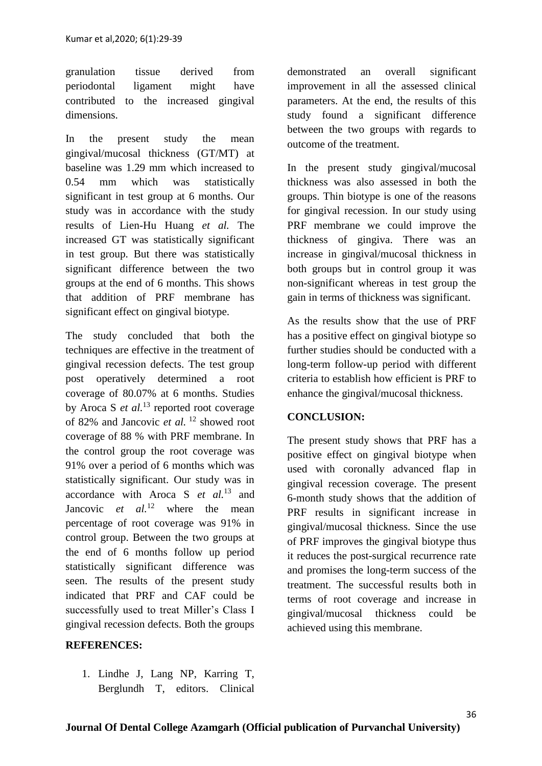granulation tissue derived from periodontal ligament might have contributed to the increased gingival dimensions.

In the present study the mean gingival/mucosal thickness (GT/MT) at baseline was 1.29 mm which increased to 0.54 mm which was statistically significant in test group at 6 months. Our study was in accordance with the study results of Lien-Hu Huang *et al.* The increased GT was statistically significant in test group. But there was statistically significant difference between the two groups at the end of 6 months. This shows that addition of PRF membrane has significant effect on gingival biotype.

The study concluded that both the techniques are effective in the treatment of gingival recession defects. The test group post operatively determined a root coverage of 80.07% at 6 months. Studies by Aroca S *et al.*<sup>13</sup> reported root coverage of 82% and Jancovic *et al.* <sup>12</sup> showed root coverage of 88 % with PRF membrane. In the control group the root coverage was 91% over a period of 6 months which was statistically significant. Our study was in accordance with Aroca S *et al.*<sup>13</sup> and Jancovic *et al.*<sup>12</sup> where the mean percentage of root coverage was 91% in control group. Between the two groups at the end of 6 months follow up period statistically significant difference was seen. The results of the present study indicated that PRF and CAF could be successfully used to treat Miller's Class I gingival recession defects. Both the groups

#### **REFERENCES:**

1. Lindhe J, Lang NP, Karring T, Berglundh T, editors. Clinical demonstrated an overall significant improvement in all the assessed clinical parameters. At the end, the results of this study found a significant difference between the two groups with regards to outcome of the treatment.

In the present study gingival/mucosal thickness was also assessed in both the groups. Thin biotype is one of the reasons for gingival recession. In our study using PRF membrane we could improve the thickness of gingiva. There was an increase in gingival/mucosal thickness in both groups but in control group it was non-significant whereas in test group the gain in terms of thickness was significant.

As the results show that the use of PRF has a positive effect on gingival biotype so further studies should be conducted with a long-term follow-up period with different criteria to establish how efficient is PRF to enhance the gingival/mucosal thickness.

#### **CONCLUSION:**

The present study shows that PRF has a positive effect on gingival biotype when used with coronally advanced flap in gingival recession coverage. The present 6-month study shows that the addition of PRF results in significant increase in gingival/mucosal thickness. Since the use of PRF improves the gingival biotype thus it reduces the post-surgical recurrence rate and promises the long-term success of the treatment. The successful results both in terms of root coverage and increase in gingival/mucosal thickness could be achieved using this membrane.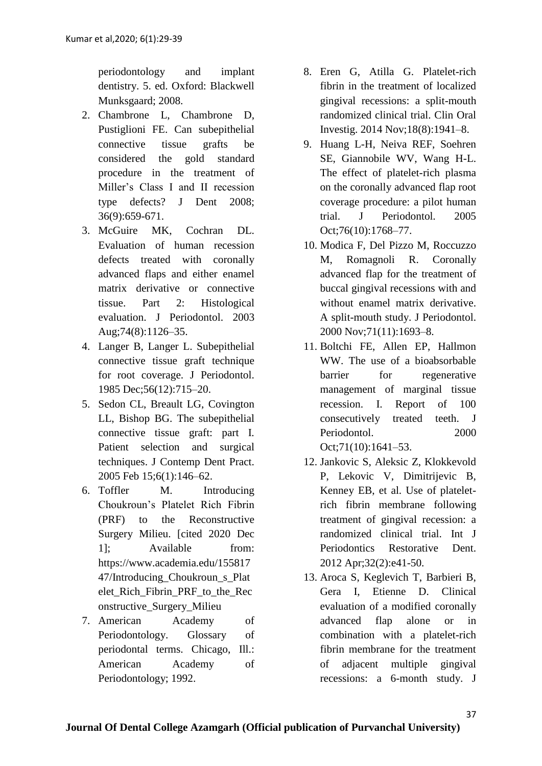periodontology and implant dentistry. 5. ed. Oxford: Blackwell Munksgaard; 2008.

- 2. Chambrone L, Chambrone D, Pustiglioni FE. Can subepithelial connective tissue grafts be considered the gold standard procedure in the treatment of Miller's Class I and II recession type defects? J Dent 2008; 36(9):659-671.
- 3. McGuire MK, Cochran DL. Evaluation of human recession defects treated with coronally advanced flaps and either enamel matrix derivative or connective tissue. Part 2: Histological evaluation. J Periodontol. 2003 Aug;74(8):1126–35.
- 4. Langer B, Langer L. Subepithelial connective tissue graft technique for root coverage. J Periodontol. 1985 Dec;56(12):715–20.
- 5. Sedon CL, Breault LG, Covington LL, Bishop BG. The subepithelial connective tissue graft: part I. Patient selection and surgical techniques. J Contemp Dent Pract. 2005 Feb 15;6(1):146–62.
- 6. Toffler M. Introducing Choukroun's Platelet Rich Fibrin (PRF) to the Reconstructive Surgery Milieu. [cited 2020 Dec 1]; Available from: https://www.academia.edu/155817 47/Introducing\_Choukroun\_s\_Plat elet\_Rich\_Fibrin\_PRF\_to\_the\_Rec onstructive\_Surgery\_Milieu
- 7. American Academy of Periodontology. Glossary of periodontal terms. Chicago, Ill.: American Academy of Periodontology; 1992.
- 8. Eren G, Atilla G. Platelet-rich fibrin in the treatment of localized gingival recessions: a split-mouth randomized clinical trial. Clin Oral Investig. 2014 Nov;18(8):1941–8.
- 9. Huang L-H, Neiva REF, Soehren SE, Giannobile WV, Wang H-L. The effect of platelet-rich plasma on the coronally advanced flap root coverage procedure: a pilot human trial. J Periodontol. 2005 Oct;76(10):1768–77.
- 10. Modica F, Del Pizzo M, Roccuzzo M, Romagnoli R. Coronally advanced flap for the treatment of buccal gingival recessions with and without enamel matrix derivative. A split-mouth study. J Periodontol. 2000 Nov;71(11):1693–8.
- 11. Boltchi FE, Allen EP, Hallmon WW. The use of a bioabsorbable barrier for regenerative management of marginal tissue recession. I. Report of 100 consecutively treated teeth. J Periodontol. 2000 Oct;71(10):1641–53.
- 12. Jankovic S, Aleksic Z, Klokkevold P, Lekovic V, Dimitrijevic B, Kenney EB, et al. Use of plateletrich fibrin membrane following treatment of gingival recession: a randomized clinical trial. Int J Periodontics Restorative Dent. 2012 Apr;32(2):e41-50.
- 13. Aroca S, Keglevich T, Barbieri B, Gera I, Etienne D. Clinical evaluation of a modified coronally advanced flap alone or in combination with a platelet-rich fibrin membrane for the treatment of adjacent multiple gingival recessions: a 6-month study. J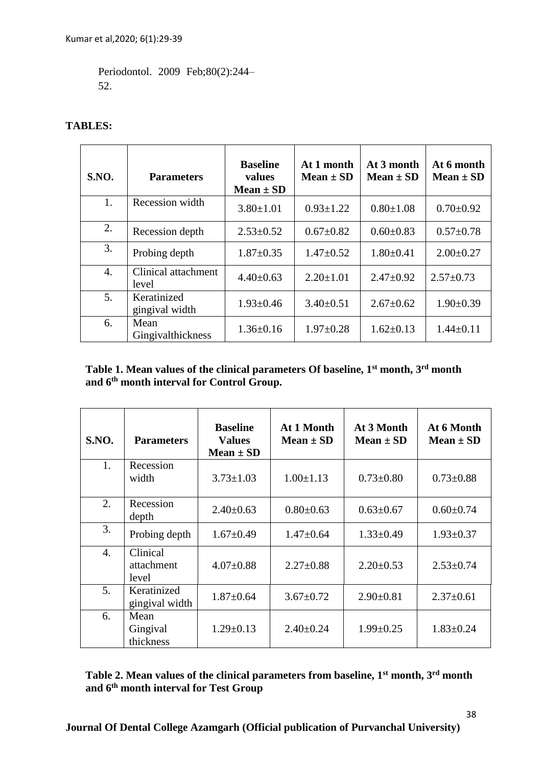Periodontol. 2009 Feb;80(2):244– 52.

## **TABLES:**

| S.NO. | <b>Parameters</b>             | <b>Baseline</b><br>values<br>Mean $\pm$ SD | At 1 month<br>Mean $\pm$ SD | At 3 month<br>Mean $\pm$ SD | At 6 month<br>$Mean \pm SD$ |
|-------|-------------------------------|--------------------------------------------|-----------------------------|-----------------------------|-----------------------------|
| 1.    | Recession width               | $3.80 \pm 1.01$                            | $0.93 \pm 1.22$             | $0.80 \pm 1.08$             | $0.70 \pm 0.92$             |
| 2.    | Recession depth               | $2.53 \pm 0.52$                            | $0.67 \pm 0.82$             | $0.60 \pm 0.83$             | $0.57 \pm 0.78$             |
| 3.    | Probing depth                 | $1.87 \pm 0.35$                            | $1.47 \pm 0.52$             | $1.80 \pm 0.41$             | $2.00 \pm 0.27$             |
| 4.    | Clinical attachment<br>level  | $4.40 \pm 0.63$                            | $2.20 \pm 1.01$             | $2.47 \pm 0.92$             | $2.57 \pm 0.73$             |
| 5.    | Keratinized<br>gingival width | $1.93 \pm 0.46$                            | $3.40 \pm 0.51$             | $2.67 \pm 0.62$             | $1.90 \pm 0.39$             |
| 6.    | Mean<br>Gingivalthickness     | $1.36 \pm 0.16$                            | $1.97 \pm 0.28$             | $1.62 \pm 0.13$             | $1.44 \pm 0.11$             |

# **Table 1. Mean values of the clinical parameters Of baseline, 1st month, 3rd month and 6th month interval for Control Group.**

| <b>S.NO.</b>     | <b>Parameters</b>               | <b>Baseline</b><br><b>Values</b><br>$Mean \pm SD$ | At 1 Month<br>Mean $\pm$ SD | At 3 Month<br>Mean $\pm$ SD | At 6 Month<br>Mean $\pm$ SD |
|------------------|---------------------------------|---------------------------------------------------|-----------------------------|-----------------------------|-----------------------------|
| 1.               | Recession<br>width              | $3.73 \pm 1.03$                                   | $1.00 \pm 1.13$             | $0.73 \pm 0.80$             | $0.73 \pm 0.88$             |
| 2.               | Recession<br>depth              | $2.40 \pm 0.63$                                   | $0.80 \pm 0.63$             | $0.63 \pm 0.67$             | $0.60 \pm 0.74$             |
| 3.               | Probing depth                   | $1.67 \pm 0.49$                                   | $1.47 \pm 0.64$             | $1.33 \pm 0.49$             | $1.93 \pm 0.37$             |
| $\overline{4}$ . | Clinical<br>attachment<br>level | $4.07 \pm 0.88$                                   | $2.27 \pm 0.88$             | $2.20 \pm 0.53$             | $2.53 \pm 0.74$             |
| 5.               | Keratinized<br>gingival width   | $1.87 \pm 0.64$                                   | $3.67 \pm 0.72$             | $2.90 \pm 0.81$             | $2.37 \pm 0.61$             |
| 6.               | Mean<br>Gingival<br>thickness   | $1.29 \pm 0.13$                                   | $2.40 \pm 0.24$             | $1.99 \pm 0.25$             | $1.83 \pm 0.24$             |

# **Table 2. Mean values of the clinical parameters from baseline, 1st month, 3rd month and 6th month interval for Test Group**

**Journal Of Dental College Azamgarh (Official publication of Purvanchal University)**